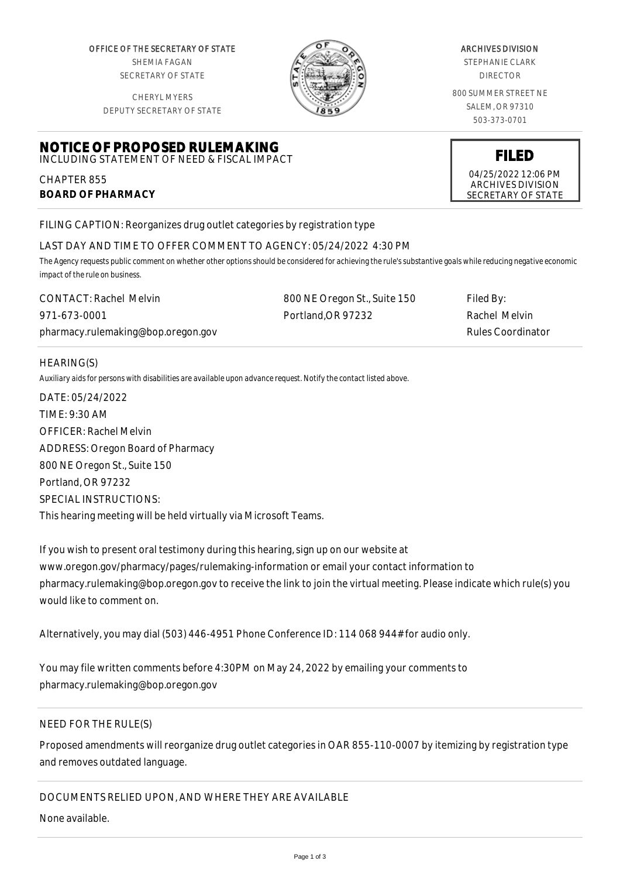OFFICE OF THE SECRETARY OF STATE SHEMIA FAGAN SECRETARY OF STATE

CHERYL MYERS

**NOTICE OF PROPOSED RULEMAKING** INCLUDING STATEMENT OF NEED & FISCAL IMPACT



#### ARCHIVES DIVISION

STEPHANIE CLARK DIRECTOR

800 SUMMER STREET NE SALEM, OR 97310 503-373-0701

DEPUTY SECRETARY OF STATE

# **FILED** 04/25/2022 12:06 PM

ARCHIVES DIVISION SECRETARY OF STATE

FILING CAPTION: Reorganizes drug outlet categories by registration type

## LAST DAY AND TIME TO OFFER COMMENT TO AGENCY: 05/24/2022 4:30 PM

*The Agency requests public comment on whether other options should be considered for achieving the rule's substantive goals while reducing negative economic impact of the rule on business.*

| <b>CONTACT: Rachel Melvin</b>      | 800 NE Oregon St., Suite 150 | Filed By:         |
|------------------------------------|------------------------------|-------------------|
| 971-673-0001                       | Portland.OR 97232            | Rachel Melvin     |
| pharmacy.rulemaking@bop.oregon.gov |                              | Rules Coordinator |

### HEARING(S)

CHAPTER 855

**BOARD OF PHARMACY**

*Auxiliary aids for persons with disabilities are available upon advance request. Notify the contact listed above.*

DATE: 05/24/2022 TIME: 9:30 AM OFFICER: Rachel Melvin ADDRESS: Oregon Board of Pharmacy 800 NE Oregon St., Suite 150 Portland, OR 97232 SPECIAL INSTRUCTIONS: This hearing meeting will be held virtually via Microsoft Teams.

If you wish to present oral testimony during this hearing, sign up on our website at www.oregon.gov/pharmacy/pages/rulemaking-information or email your contact information to pharmacy.rulemaking@bop.oregon.gov to receive the link to join the virtual meeting. Please indicate which rule(s) you would like to comment on.

Alternatively, you may dial (503) 446-4951 Phone Conference ID: 114 068 944# for audio only.

You may file written comments before 4:30PM on May 24, 2022 by emailing your comments to pharmacy.rulemaking@bop.oregon.gov

# NEED FOR THE RULE(S)

Proposed amendments will reorganize drug outlet categories in OAR 855-110-0007 by itemizing by registration type and removes outdated language.

DOCUMENTS RELIED UPON, AND WHERE THEY ARE AVAILABLE

None available.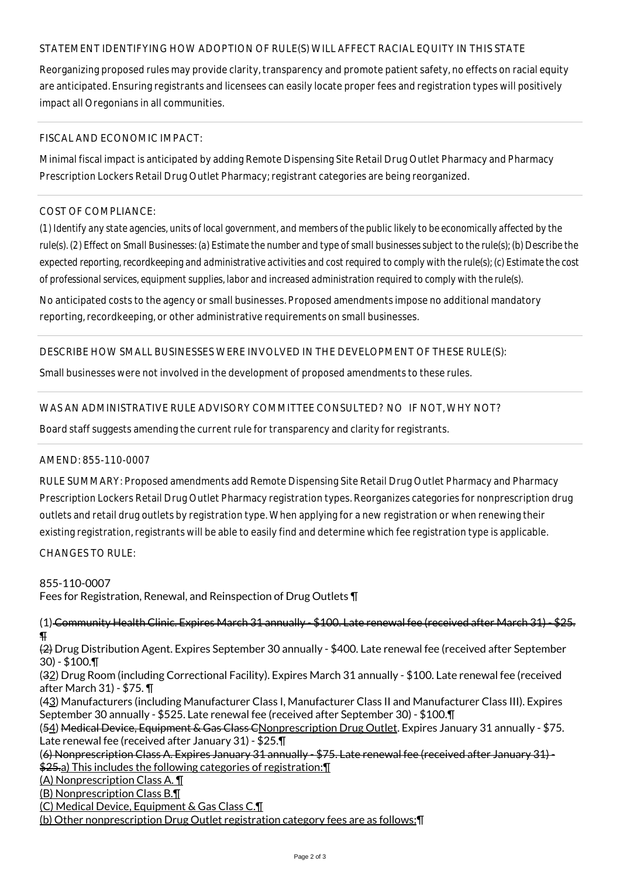## STATEMENT IDENTIFYING HOW ADOPTION OF RULE(S) WILL AFFECT RACIAL EQUITY IN THIS STATE

Reorganizing proposed rules may provide clarity, transparency and promote patient safety, no effects on racial equity are anticipated. Ensuring registrants and licensees can easily locate proper fees and registration types will positively impact all Oregonians in all communities.

### FISCAL AND ECONOMIC IMPACT:

Minimal fiscal impact is anticipated by adding Remote Dispensing Site Retail Drug Outlet Pharmacy and Pharmacy Prescription Lockers Retail Drug Outlet Pharmacy; registrant categories are being reorganized.

## COST OF COMPLIANCE:

*(1) Identify any state agencies, units of local government, and members of the public likely to be economically affected by the rule(s). (2) Effect on Small Businesses: (a) Estimate the number and type of small businesses subject to the rule(s); (b) Describe the expected reporting, recordkeeping and administrative activities and cost required to comply with the rule(s); (c) Estimate the cost of professional services, equipment supplies, labor and increased administration required to comply with the rule(s).*

No anticipated costs to the agency or small businesses. Proposed amendments impose no additional mandatory reporting, recordkeeping, or other administrative requirements on small businesses.

### DESCRIBE HOW SMALL BUSINESSES WERE INVOLVED IN THE DEVELOPMENT OF THESE RULE(S):

Small businesses were not involved in the development of proposed amendments to these rules.

## WAS AN ADMINISTRATIVE RULE ADVISORY COMMITTEE CONSULTED? NO IF NOT, WHY NOT?

Board staff suggests amending the current rule for transparency and clarity for registrants.

#### AMEND: 855-110-0007

RULE SUMMARY: Proposed amendments add Remote Dispensing Site Retail Drug Outlet Pharmacy and Pharmacy Prescription Lockers Retail Drug Outlet Pharmacy registration types. Reorganizes categories for nonprescription drug outlets and retail drug outlets by registration type. When applying for a new registration or when renewing their existing registration, registrants will be able to easily find and determine which fee registration type is applicable.

CHANGES TO RULE:

855-110-0007

Fees for Registration, Renewal, and Reinspection of Drug Outlets ¶

(1) Community Health Clinic. Expires March 31 annually - \$100. Late renewal fee (received after March 31) - \$25.  $\overline{\mathbf{P}}$ 

(2) Drug Distribution Agent. Expires September 30 annually - \$400. Late renewal fee (received after September 30) - \$100.¶

(32) Drug Room (including Correctional Facility). Expires March 31 annually - \$100. Late renewal fee (received after March 31) - \$75. ¶

(43) Manufacturers (including Manufacturer Class I, Manufacturer Class II and Manufacturer Class III). Expires September 30 annually - \$525. Late renewal fee (received after September 30) - \$100.¶

(54) Medical Device, Equipment & Gas Class CNonprescription Drug Outlet. Expires January 31 annually - \$75. Late renewal fee (received after January 31) - \$25.¶

(6) Nonprescription Class A. Expires January 31 annually - \$75. Late renewal fee (received after January 31) - \$25.a) This includes the following categories of registration:¶

(A) Nonprescription Class A. ¶

(B) Nonprescription Class B.¶

(C) Medical Device, Equipment & Gas Class C.¶

(b) Other nonprescription Drug Outlet registration category fees are as follows:¶